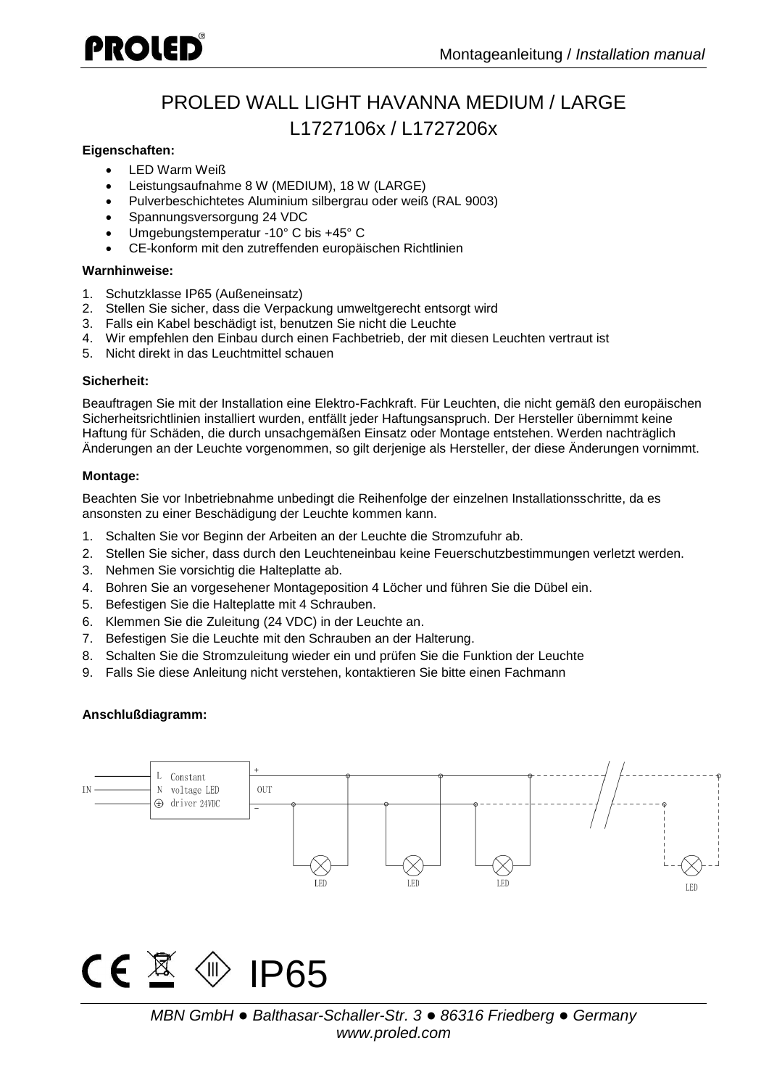## PROLED

### PROLED WALL LIGHT HAVANNA MEDIUM / LARGE L1727106x / L1727206x

### **Eigenschaften:**

- LED Warm Weiß
- Leistungsaufnahme 8 W (MEDIUM), 18 W (LARGE)
- Pulverbeschichtetes Aluminium silbergrau oder weiß (RAL 9003)
- Spannungsversorgung 24 VDC
- Umgebungstemperatur -10° C bis +45° C
- CE-konform mit den zutreffenden europäischen Richtlinien

#### **Warnhinweise:**

- 1. Schutzklasse IP65 (Außeneinsatz)
- 2. Stellen Sie sicher, dass die Verpackung umweltgerecht entsorgt wird
- 3. Falls ein Kabel beschädigt ist, benutzen Sie nicht die Leuchte
- 4. Wir empfehlen den Einbau durch einen Fachbetrieb, der mit diesen Leuchten vertraut ist
- 5. Nicht direkt in das Leuchtmittel schauen

### **Sicherheit:**

Beauftragen Sie mit der Installation eine Elektro-Fachkraft. Für Leuchten, die nicht gemäß den europäischen Sicherheitsrichtlinien installiert wurden, entfällt jeder Haftungsanspruch. Der Hersteller übernimmt keine Haftung für Schäden, die durch unsachgemäßen Einsatz oder Montage entstehen. Werden nachträglich Änderungen an der Leuchte vorgenommen, so gilt derjenige als Hersteller, der diese Änderungen vornimmt.

### **Montage:**

Beachten Sie vor Inbetriebnahme unbedingt die Reihenfolge der einzelnen Installationsschritte, da es ansonsten zu einer Beschädigung der Leuchte kommen kann.

- 1. Schalten Sie vor Beginn der Arbeiten an der Leuchte die Stromzufuhr ab.
- 2. Stellen Sie sicher, dass durch den Leuchteneinbau keine Feuerschutzbestimmungen verletzt werden.
- 3. Nehmen Sie vorsichtig die Halteplatte ab.
- 4. Bohren Sie an vorgesehener Montageposition 4 Löcher und führen Sie die Dübel ein.
- 5. Befestigen Sie die Halteplatte mit 4 Schrauben.
- 6. Klemmen Sie die Zuleitung (24 VDC) in der Leuchte an.
- 7. Befestigen Sie die Leuchte mit den Schrauben an der Halterung.
- 8. Schalten Sie die Stromzuleitung wieder ein und prüfen Sie die Funktion der Leuchte
- 9. Falls Sie diese Anleitung nicht verstehen, kontaktieren Sie bitte einen Fachmann

### **Anschlußdiagramm:**



# $\mathbb{R} \oplus \mathsf{IP65}$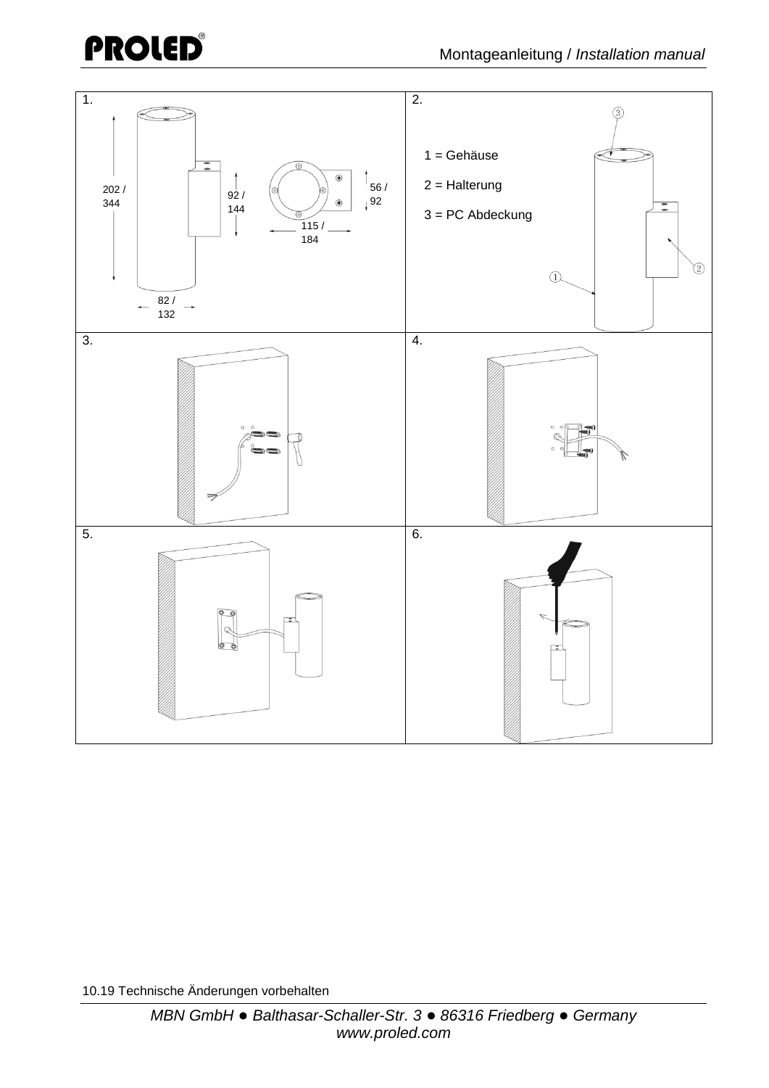### **PROLED**®



10.19 Technische Änderungen vorbehalten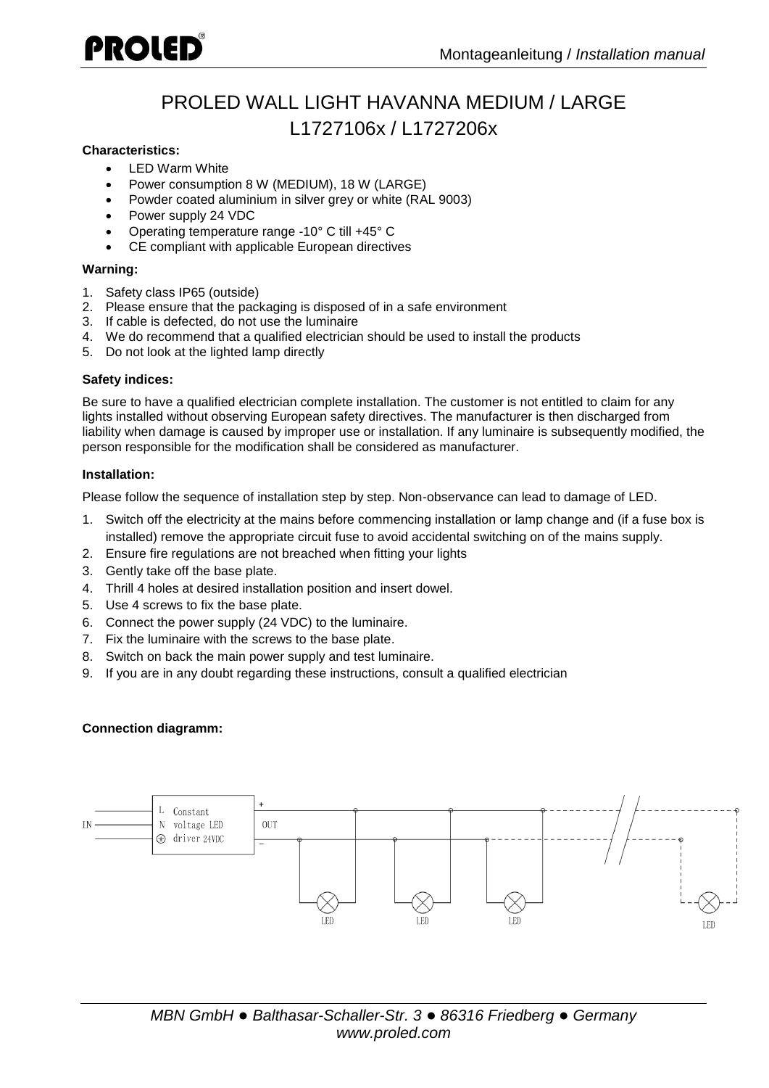## PROLED

### PROLED WALL LIGHT HAVANNA MEDIUM / LARGE L1727106x / L1727206x

### **Characteristics:**

- I FD Warm White
- Power consumption 8 W (MEDIUM), 18 W (LARGE)
- Powder coated aluminium in silver grey or white (RAL 9003)
- Power supply 24 VDC
- Operating temperature range -10° C till +45° C
- CE compliant with applicable European directives

### **Warning:**

- 1. Safety class IP65 (outside)
- 2. Please ensure that the packaging is disposed of in a safe environment
- 3. If cable is defected, do not use the luminaire
- 4. We do recommend that a qualified electrician should be used to install the products
- 5. Do not look at the lighted lamp directly

### **Safety indices:**

Be sure to have a qualified electrician complete installation. The customer is not entitled to claim for any lights installed without observing European safety directives. The manufacturer is then discharged from liability when damage is caused by improper use or installation. If any luminaire is subsequently modified, the person responsible for the modification shall be considered as manufacturer.

### **Installation:**

Please follow the sequence of installation step by step. Non-observance can lead to damage of LED.

- 1. Switch off the electricity at the mains before commencing installation or lamp change and (if a fuse box is installed) remove the appropriate circuit fuse to avoid accidental switching on of the mains supply.
- 2. Ensure fire regulations are not breached when fitting your lights
- 3. Gently take off the base plate.
- 4. Thrill 4 holes at desired installation position and insert dowel.
- 5. Use 4 screws to fix the base plate.
- 6. Connect the power supply (24 VDC) to the luminaire.
- 7. Fix the luminaire with the screws to the base plate.
- 8. Switch on back the main power supply and test luminaire.
- 9. If you are in any doubt regarding these instructions, consult a qualified electrician

### **Connection diagramm:**

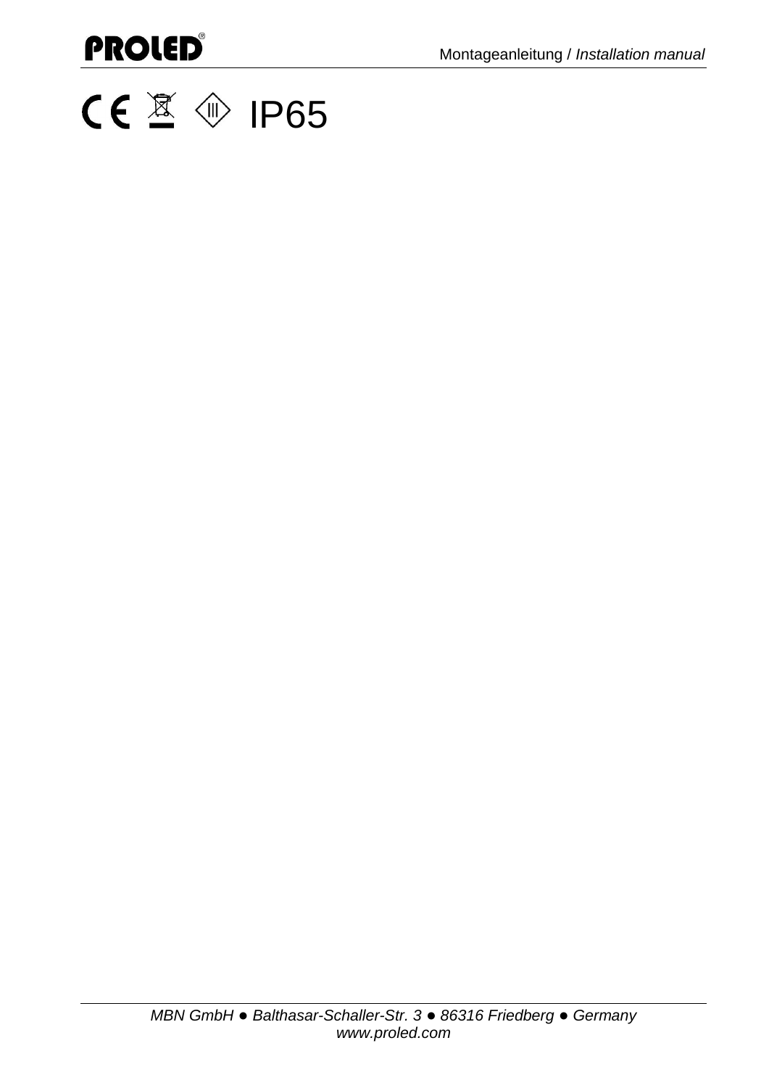